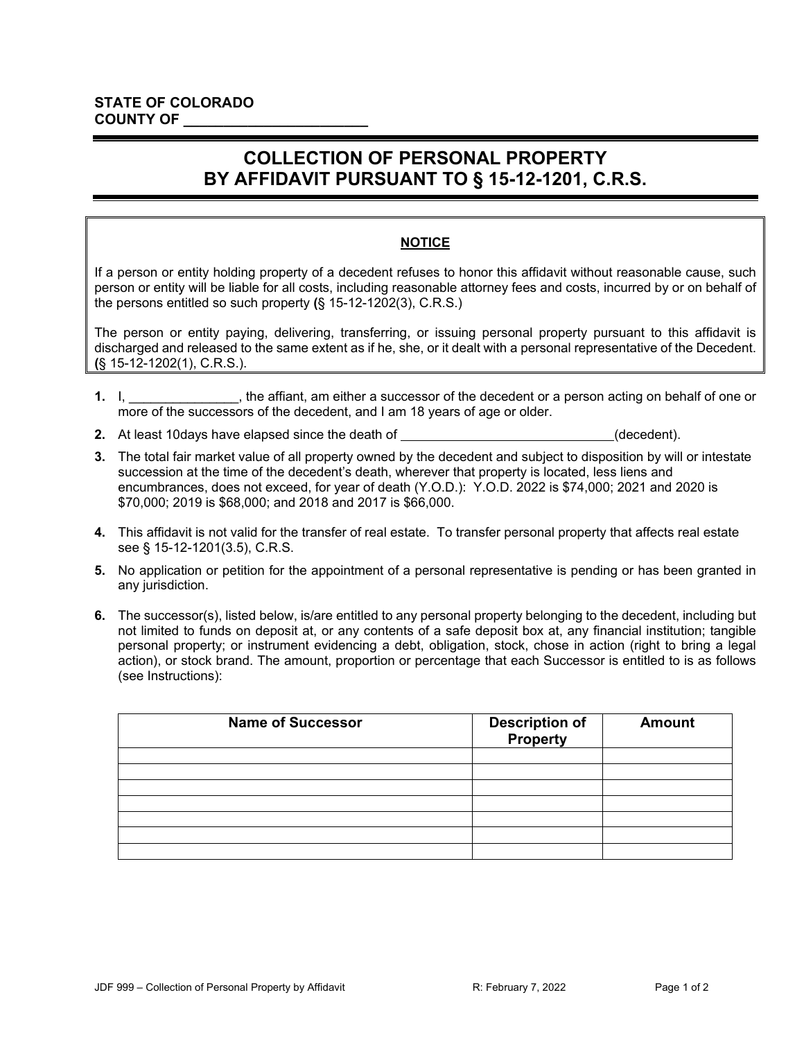## **COLLECTION OF PERSONAL PROPERTY BY AFFIDAVIT PURSUANT TO § 15-12-1201, C.R.S.**

## **NOTICE**

If a person or entity holding property of a decedent refuses to honor this affidavit without reasonable cause, such person or entity will be liable for all costs, including reasonable attorney fees and costs, incurred by or on behalf of the persons entitled so such property **(**§ 15-12-1202(3), C.R.S.)

The person or entity paying, delivering, transferring, or issuing personal property pursuant to this affidavit is discharged and released to the same extent as if he, she, or it dealt with a personal representative of the Decedent. **(**§ 15-12-1202(1), C.R.S.).

- **1.** I, **EXECUTE:** the affiant, am either a successor of the decedent or a person acting on behalf of one or more of the successors of the decedent, and I am 18 years of age or older.
- **2.** At least 10days have elapsed since the death of  $\blacksquare$  (decedent).
- **3.** The total fair market value of all property owned by the decedent and subject to disposition by will or intestate succession at the time of the decedent's death, wherever that property is located, less liens and encumbrances, does not exceed, for year of death (Y.O.D.): Y.O.D. 2022 is \$74,000; 2021 and 2020 is \$70,000; 2019 is \$68,000; and 2018 and 2017 is \$66,000.
- **4.** This affidavit is not valid for the transfer of real estate. To transfer personal property that affects real estate see § 15-12-1201(3.5), C.R.S.
- **5.** No application or petition for the appointment of a personal representative is pending or has been granted in any jurisdiction.
- **6.** The successor(s), listed below, is/are entitled to any personal property belonging to the decedent, including but not limited to funds on deposit at, or any contents of a safe deposit box at, any financial institution; tangible personal property; or instrument evidencing a debt, obligation, stock, chose in action (right to bring a legal action), or stock brand. The amount, proportion or percentage that each Successor is entitled to is as follows (see Instructions):

| <b>Name of Successor</b> | <b>Description of<br/>Property</b> | <b>Amount</b> |
|--------------------------|------------------------------------|---------------|
|                          |                                    |               |
|                          |                                    |               |
|                          |                                    |               |
|                          |                                    |               |
|                          |                                    |               |
|                          |                                    |               |
|                          |                                    |               |